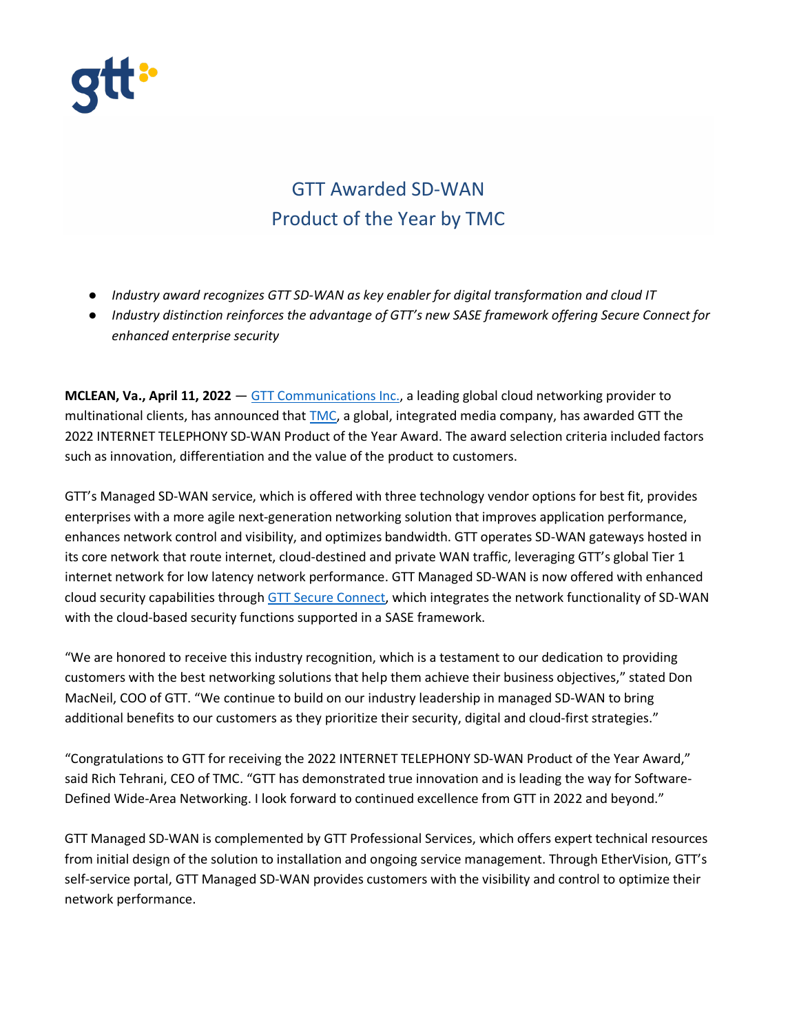

## GTT Awarded SD-WAN Product of the Year by TMC

- *Industry award recognizes GTT SD-WAN as key enabler for digital transformation and cloud IT*
- *Industry distinction reinforces the advantage of GTT's new SASE framework offering Secure Connect for enhanced enterprise security*

**MCLEAN, Va., April 11, 2022** — [GTT Communications Inc.,](https://www.gtt.net/) a leading global cloud networking provider to multinational clients, has announced that [TMC,](http://www.tmcnet.com/) a global, integrated media company, has awarded GTT the 2022 INTERNET TELEPHONY SD-WAN Product of the Year Award. The award selection criteria included factors such as innovation, differentiation and the value of the product to customers.

GTT's Managed SD-WAN service, which is offered with three technology vendor options for best fit, provides enterprises with a more agile next-generation networking solution that improves application performance, enhances network control and visibility, and optimizes bandwidth. GTT operates SD-WAN gateways hosted in its core network that route internet, cloud-destined and private WAN traffic, leveraging GTT's global Tier 1 internet network for low latency network performance. GTT Managed SD-WAN is now offered with enhanced cloud security capabilities throug[h GTT Secure Connect,](https://www.gtt.net/us-en/services/secure-networking/sase-secure-connect) which integrates the network functionality of SD-WAN with the cloud-based security functions supported in a SASE framework.

"We are honored to receive this industry recognition, which is a testament to our dedication to providing customers with the best networking solutions that help them achieve their business objectives," stated Don MacNeil, COO of GTT. "We continue to build on our industry leadership in managed SD-WAN to bring additional benefits to our customers as they prioritize their security, digital and cloud-first strategies."

"Congratulations to GTT for receiving the 2022 INTERNET TELEPHONY SD-WAN Product of the Year Award," said Rich Tehrani, CEO of TMC. "GTT has demonstrated true innovation and is leading the way for Software-Defined Wide-Area Networking. I look forward to continued excellence from GTT in 2022 and beyond."

GTT Managed SD-WAN is complemented by GTT Professional Services, which offers expert technical resources from initial design of the solution to installation and ongoing service management. Through EtherVision, GTT's self-service portal, GTT Managed SD-WAN provides customers with the visibility and control to optimize their network performance.